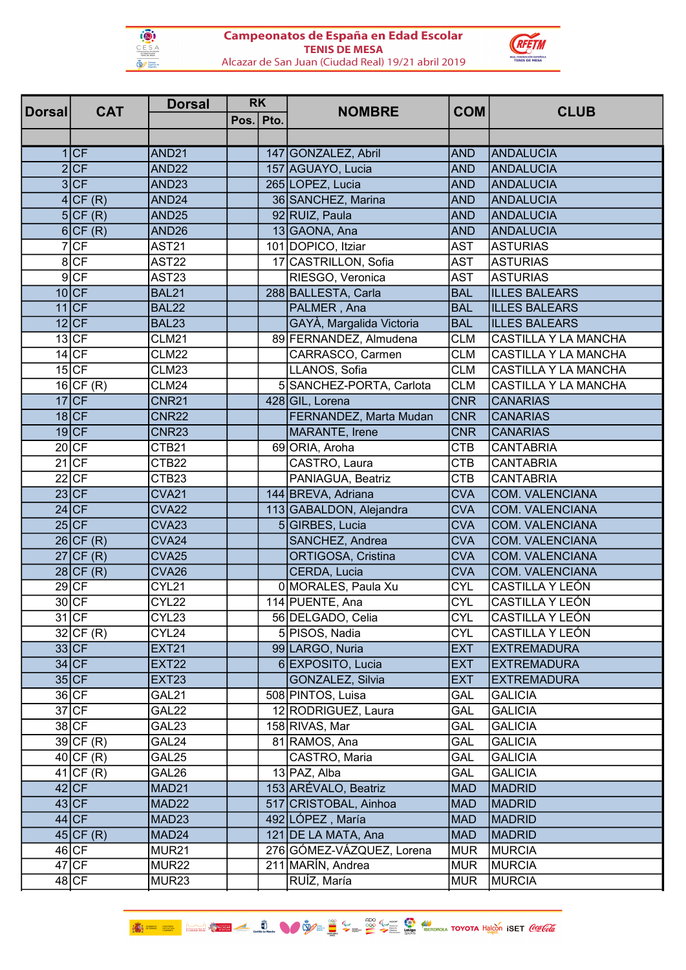



| <b>Dorsal</b> | <b>RK</b><br><b>Dorsal</b><br><b>CAT</b> |                   | <b>NOMBRE</b> | <b>COM</b>                | <b>CLUB</b> |                        |
|---------------|------------------------------------------|-------------------|---------------|---------------------------|-------------|------------------------|
|               |                                          |                   | Pos. Pto.     |                           |             |                        |
|               |                                          |                   |               |                           |             |                        |
|               | 1 CF                                     | AND <sub>21</sub> |               | 147 GONZALEZ, Abril       | <b>AND</b>  | <b>ANDALUCIA</b>       |
|               | 2 CF                                     | AND <sub>22</sub> |               | 157 AGUAYO, Lucia         | <b>AND</b>  | <b>ANDALUCIA</b>       |
|               | 3 CF                                     | AND <sub>23</sub> |               | 265 LOPEZ, Lucia          | <b>AND</b>  | <b>ANDALUCIA</b>       |
|               | 4 CF(R)                                  | AND <sub>24</sub> |               | 36 SANCHEZ, Marina        | <b>AND</b>  | ANDALUCIA              |
|               | 5CF(R)                                   | AND <sub>25</sub> |               | 92 RUIZ, Paula            | <b>AND</b>  | <b>ANDALUCIA</b>       |
|               | $6$ CF $(R)$                             | AND <sub>26</sub> |               | 13 GAONA, Ana             | <b>AND</b>  | <b>ANDALUCIA</b>       |
|               | 7 CF                                     | <b>AST21</b>      |               | 101 DOPICO, Itziar        | <b>AST</b>  | <b>ASTURIAS</b>        |
|               | 8 CF                                     | <b>AST22</b>      |               | 17 CASTRILLON, Sofia      | <b>AST</b>  | <b>ASTURIAS</b>        |
|               | $9$ CF                                   | AST <sub>23</sub> |               | RIESGO, Veronica          | <b>AST</b>  | <b>ASTURIAS</b>        |
|               | $10$ CF                                  | <b>BAL21</b>      |               | 288 BALLESTA, Carla       | <b>BAL</b>  | <b>ILLES BALEARS</b>   |
|               | $11$ CF                                  | <b>BAL22</b>      |               | PALMER, Ana               | <b>BAL</b>  | <b>ILLES BALEARS</b>   |
|               | $12$ CF                                  | <b>BAL23</b>      |               | GAYÀ, Margalida Victoria  | <b>BAL</b>  | <b>ILLES BALEARS</b>   |
|               | $13$ CF                                  | <b>CLM21</b>      |               | 89 FERNANDEZ, Almudena    | <b>CLM</b>  | CASTILLA Y LA MANCHA   |
|               | $14$ CF                                  | <b>CLM22</b>      |               | CARRASCO, Carmen          | <b>CLM</b>  | CASTILLA Y LA MANCHA   |
|               | $15$ CF                                  | CLM23             |               | LLANOS, Sofia             | <b>CLM</b>  | CASTILLA Y LA MANCHA   |
|               | $16$ CF(R)                               | <b>CLM24</b>      |               | 5 SANCHEZ-PORTA, Carlota  | <b>CLM</b>  | CASTILLA Y LA MANCHA   |
|               | $17$ CF                                  | <b>CNR21</b>      |               | 428 GIL, Lorena           | <b>CNR</b>  | <b>CANARIAS</b>        |
|               | $18$ CF                                  | <b>CNR22</b>      |               | FERNANDEZ, Marta Mudan    | <b>CNR</b>  | <b>CANARIAS</b>        |
|               | $19$ CF                                  | <b>CNR23</b>      |               | <b>MARANTE, Irene</b>     | <b>CNR</b>  | <b>CANARIAS</b>        |
|               | 20 CF                                    | CTB21             |               | 69 ORIA, Aroha            | <b>CTB</b>  | <b>CANTABRIA</b>       |
|               | $21$ CF                                  | CTB22             |               | CASTRO, Laura             | <b>CTB</b>  | <b>CANTABRIA</b>       |
|               | $22$ CF                                  | CTB <sub>23</sub> |               | PANIAGUA, Beatriz         | <b>CTB</b>  | <b>CANTABRIA</b>       |
|               | $23$ CF                                  | <b>CVA21</b>      |               | 144 BREVA, Adriana        | <b>CVA</b>  | <b>COM. VALENCIANA</b> |
|               | $24$ CF                                  | <b>CVA22</b>      |               | 113 GABALDON, Alejandra   | <b>CVA</b>  | <b>COM. VALENCIANA</b> |
|               | $25$ CF                                  | CVA <sub>23</sub> |               | 5 GIRBES, Lucia           | <b>CVA</b>  | <b>COM. VALENCIANA</b> |
|               | $26$ CF (R)                              | CVA <sub>24</sub> |               | SANCHEZ, Andrea           | <b>CVA</b>  | <b>COM. VALENCIANA</b> |
|               | $\overline{27}$ CF(R)                    | CVA <sub>25</sub> |               | ORTIGOSA, Cristina        | <b>CVA</b>  | <b>COM. VALENCIANA</b> |
|               | $28$ CF (R)                              | CVA <sub>26</sub> |               | CERDA, Lucia              | <b>CVA</b>  | <b>COM. VALENCIANA</b> |
|               | 29 CF                                    | CYL21             |               | 0 MORALES, Paula Xu       | <b>CYL</b>  | CASTILLA Y LEÓN        |
|               | $30$ CF                                  | CYL22             |               | 114 PUENTE, Ana           | <b>CYL</b>  | CASTILLA Y LEÓN        |
|               | $31$ CF                                  | CYL23             |               | 56 DELGADO, Celia         | <b>CYL</b>  | CASTILLA Y LEÓN        |
|               | $32$ CF (R)                              | CYL24             |               | 5 PISOS, Nadia            | <b>CYL</b>  | CASTILLA Y LEÓN        |
|               | $33$ CF                                  | <b>EXT21</b>      |               | 99 LARGO, Nuria           | <b>EXT</b>  | <b>EXTREMADURA</b>     |
|               | 34 CF                                    | <b>EXT22</b>      |               | 6 EXPOSITO, Lucia         | <b>EXT</b>  | <b>EXTREMADURA</b>     |
|               | 35 CF                                    | <b>EXT23</b>      |               | GONZALEZ, Silvia          | <b>EXT</b>  | <b>EXTREMADURA</b>     |
|               | $36$ CF                                  | GAL21             |               | 508 PINTOS, Luisa         | <b>GAL</b>  | <b>GALICIA</b>         |
|               | $37$ CF                                  | GAL22             |               | 12 RODRIGUEZ, Laura       | <b>GAL</b>  | <b>GALICIA</b>         |
|               | $38$ CF                                  | GAL23             |               | 158 RIVAS, Mar            | <b>GAL</b>  | <b>GALICIA</b>         |
|               | $39$ CF (R)                              | GAL24             |               | 81 RAMOS, Ana             | <b>GAL</b>  | <b>GALICIA</b>         |
|               | $40$ CF (R)                              | GAL25             |               | CASTRO, Maria             | <b>GAL</b>  | <b>GALICIA</b>         |
|               | $41$ CF (R)                              | GAL26             |               | 13 PAZ, Alba              | <b>GAL</b>  | <b>GALICIA</b>         |
|               | $42$ CF                                  | MAD <sub>21</sub> |               | 153 ARÉVALO, Beatriz      | <b>MAD</b>  | <b>MADRID</b>          |
|               | $43$ CF                                  | MAD <sub>22</sub> |               | 517 CRISTOBAL, Ainhoa     | <b>MAD</b>  | <b>MADRID</b>          |
|               | $44$ CF                                  | MAD <sub>23</sub> |               | 492 LÓPEZ, María          | <b>MAD</b>  | <b>MADRID</b>          |
|               | $45$ CF (R)                              | MAD <sub>24</sub> |               | 121 DE LA MATA, Ana       | <b>MAD</b>  | <b>MADRID</b>          |
|               | $46$ <sub>CF</sub>                       | MUR <sub>21</sub> |               | 276 GÓMEZ-VÁZQUEZ, Lorena | <b>MUR</b>  | <b>MURCIA</b>          |
|               | $47$ CF                                  | MUR22             |               | 211 MARÍN, Andrea         | <b>MUR</b>  | <b>MURCIA</b>          |
|               | $48$ CF                                  | MUR <sub>23</sub> |               | RUÍZ, María               | <b>MUR</b>  | <b>MURCIA</b>          |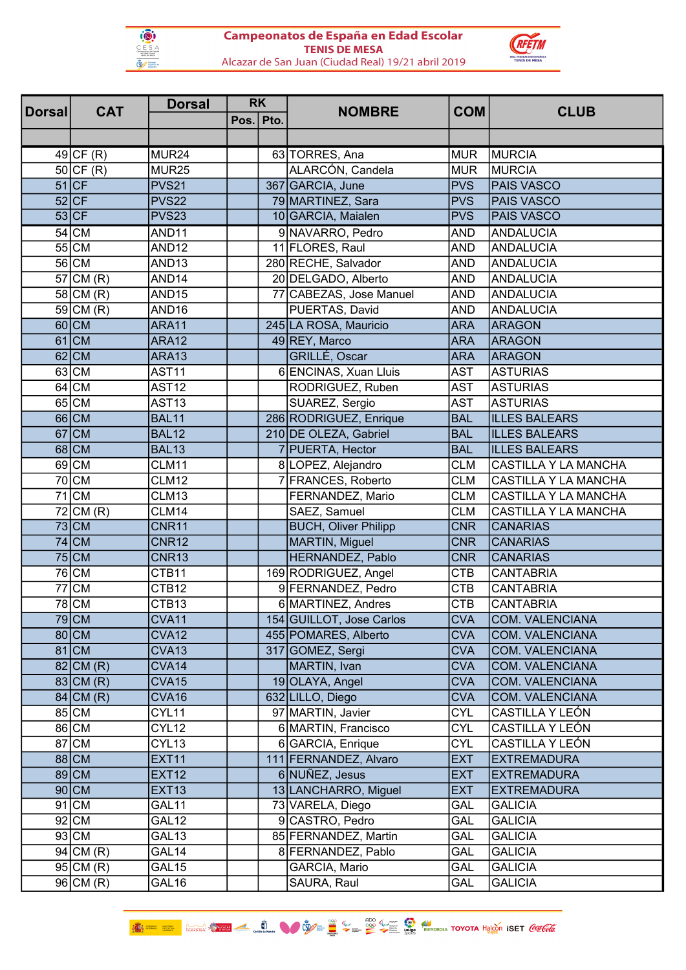



| <b>Dorsall</b> | <b>RK</b><br><b>Dorsal</b><br><b>CAT</b> |                   | <b>NOMBRE</b> | <b>COM</b>                  | <b>CLUB</b> |                        |
|----------------|------------------------------------------|-------------------|---------------|-----------------------------|-------------|------------------------|
|                |                                          |                   | Pos. Pto.     |                             |             |                        |
|                |                                          |                   |               |                             |             |                        |
|                | $49$ CF (R)                              | MUR <sub>24</sub> |               | 63 TORRES, Ana              | <b>MUR</b>  | <b>MURCIA</b>          |
|                | $50$ CF (R)                              | MUR <sub>25</sub> |               | ALARCÓN, Candela            | <b>MUR</b>  | <b>MURCIA</b>          |
|                | $51$ CF                                  | PVS <sub>21</sub> |               | 367 GARCIA, June            | <b>PVS</b>  | PAIS VASCO             |
|                | $52$ CF                                  | <b>PVS22</b>      |               | 79 MARTINEZ, Sara           | <b>PVS</b>  | <b>PAIS VASCO</b>      |
|                | $53$ CF                                  | <b>PVS23</b>      |               | 10 GARCIA, Maialen          | <b>PVS</b>  | <b>PAIS VASCO</b>      |
|                | $54$ CM                                  | AND <sub>11</sub> |               | 9 NAVARRO, Pedro            | <b>AND</b>  | <b>ANDALUCIA</b>       |
|                | $55$ CM                                  | AND <sub>12</sub> |               | 11 FLORES, Raul             | <b>AND</b>  | <b>ANDALUCIA</b>       |
|                | 56 CM                                    | AND <sub>13</sub> |               | 280 RECHE, Salvador         | <b>AND</b>  | ANDALUCIA              |
|                | $57$ CM $(R)$                            | AND <sub>14</sub> |               | 20 DELGADO, Alberto         | <b>AND</b>  | <b>ANDALUCIA</b>       |
|                | $58$ CM $(R)$                            | AND <sub>15</sub> |               | 77 CABEZAS, Jose Manuel     | <b>AND</b>  | <b>ANDALUCIA</b>       |
|                | $59$ CM $(R)$                            | AND <sub>16</sub> |               | PUERTAS, David              | <b>AND</b>  | <b>ANDALUCIA</b>       |
|                | $60$ CM                                  | ARA11             |               | 245 LA ROSA, Mauricio       | <b>ARA</b>  | <b>ARAGON</b>          |
|                | $61$ CM                                  | ARA12             |               | 49 REY, Marco               | <b>ARA</b>  | <b>ARAGON</b>          |
|                | $62$ CM                                  | ARA13             |               | GRILLÉ, Oscar               | <b>ARA</b>  | <b>ARAGON</b>          |
|                | $63$ CM                                  | AST11             |               | 6 ENCINAS, Xuan Lluis       | <b>AST</b>  | <b>ASTURIAS</b>        |
|                | $64$ CM                                  | <b>AST12</b>      |               | RODRIGUEZ, Ruben            | <b>AST</b>  | <b>ASTURIAS</b>        |
|                | 65 CM                                    | AST <sub>13</sub> |               | SUAREZ, Sergio              | <b>AST</b>  | <b>ASTURIAS</b>        |
|                | $66$ CM                                  | BAL11             |               | 286 RODRIGUEZ, Enrique      | <b>BAL</b>  | <b>ILLES BALEARS</b>   |
|                | $67$ CM                                  | <b>BAL12</b>      |               | 210 DE OLEZA, Gabriel       | <b>BAL</b>  | <b>ILLES BALEARS</b>   |
|                | $68$ CM                                  | <b>BAL13</b>      |               | 7 PUERTA, Hector            | <b>BAL</b>  | <b>ILLES BALEARS</b>   |
|                | $69$ CM                                  | CLM11             |               | 8 LOPEZ, Alejandro          | <b>CLM</b>  | CASTILLA Y LA MANCHA   |
|                | 70 CM                                    | <b>CLM12</b>      |               | 7 FRANCES, Roberto          | <b>CLM</b>  | CASTILLA Y LA MANCHA   |
|                | $71$ CM                                  | CLM13             |               | FERNANDEZ, Mario            | <b>CLM</b>  | CASTILLA Y LA MANCHA   |
|                | $72$ CM $(R)$                            | CLM14             |               | SAEZ, Samuel                | <b>CLM</b>  | CASTILLA Y LA MANCHA   |
|                | $73$ CM                                  | <b>CNR11</b>      |               | <b>BUCH, Oliver Philipp</b> | <b>CNR</b>  | <b>CANARIAS</b>        |
|                | $74$ CM                                  | <b>CNR12</b>      |               | MARTIN, Miguel              | <b>CNR</b>  | <b>CANARIAS</b>        |
|                | $75$ CM                                  | CNR13             |               | HERNANDEZ, Pablo            | <b>CNR</b>  | <b>CANARIAS</b>        |
|                | 76 CM                                    | CTB11             |               | 169 RODRIGUEZ, Angel        | <b>CTB</b>  | <b>CANTABRIA</b>       |
|                | 77 CM                                    | CTB12             |               | 9 FERNANDEZ, Pedro          | <b>CTB</b>  | <b>CANTABRIA</b>       |
|                | 78 <sub>ICM</sub>                        | CTB <sub>13</sub> |               | 6 MARTINEZ, Andres          | <b>CTB</b>  | <b>CANTABRIA</b>       |
|                | $79$ CM                                  | CVA11             |               | 154 GUILLOT, Jose Carlos    | <b>CVA</b>  | <b>COM. VALENCIANA</b> |
|                | $80$ CM                                  | CVA <sub>12</sub> |               | 455 POMARES, Alberto        | <b>CVA</b>  | <b>COM. VALENCIANA</b> |
|                | $81$ CM                                  | CVA <sub>13</sub> |               | 317 GOMEZ, Sergi            | <b>CVA</b>  | <b>COM. VALENCIANA</b> |
|                | $82$ CM $(R)$                            | CVA14             |               | MARTIN, Ivan                | <b>CVA</b>  | <b>COM. VALENCIANA</b> |
|                | $83$ CM $(R)$                            | CVA <sub>15</sub> |               | 19 OLAYA, Angel             | <b>CVA</b>  | <b>COM. VALENCIANA</b> |
|                | $84$ CM $(R)$                            | CVA16             |               | 632 LILLO, Diego            | <b>CVA</b>  | <b>COM. VALENCIANA</b> |
|                | 85 CM                                    | CYL11             |               | 97 MARTIN, Javier           | <b>CYL</b>  | CASTILLA Y LEÓN        |
|                | 86 CM                                    | CYL12             |               | 6 MARTIN, Francisco         | <b>CYL</b>  | CASTILLA Y LEÓN        |
|                | 87 CM                                    | CYL <sub>13</sub> |               | 6 GARCIA, Enrique           | <b>CYL</b>  | CASTILLA Y LEÓN        |
|                | $88$ CM                                  | <b>EXT11</b>      |               | 111 FERNANDEZ, Alvaro       | <b>EXT</b>  | <b>EXTREMADURA</b>     |
|                | 89 CM                                    | <b>EXT12</b>      |               | 6 NUÑEZ, Jesus              | <b>EXT</b>  | <b>EXTREMADURA</b>     |
|                | $90$ CM                                  | <b>EXT13</b>      |               | 13 LANCHARRO, Miguel        | <b>EXT</b>  | <b>EXTREMADURA</b>     |
|                | $91$ CM                                  | GAL11             |               | 73 VARELA, Diego            | GAL         | <b>GALICIA</b>         |
|                | $92$ CM                                  | GAL12             |               | 9 CASTRO, Pedro             | GAL         | <b>GALICIA</b>         |
|                | 93 CM                                    | GAL13             |               | 85 FERNANDEZ, Martin        | GAL         | <b>GALICIA</b>         |
|                | $94$ CM $(R)$                            | GAL <sub>14</sub> |               | 8 FERNANDEZ, Pablo          | GAL         | <b>GALICIA</b>         |
|                | 95 CM(R)                                 | GAL <sub>15</sub> |               | GARCIA, Mario               | <b>GAL</b>  | <b>GALICIA</b>         |
|                | $96$ CM $(R)$                            | GAL <sub>16</sub> |               | SAURA, Raul                 | GAL         | <b>GALICIA</b>         |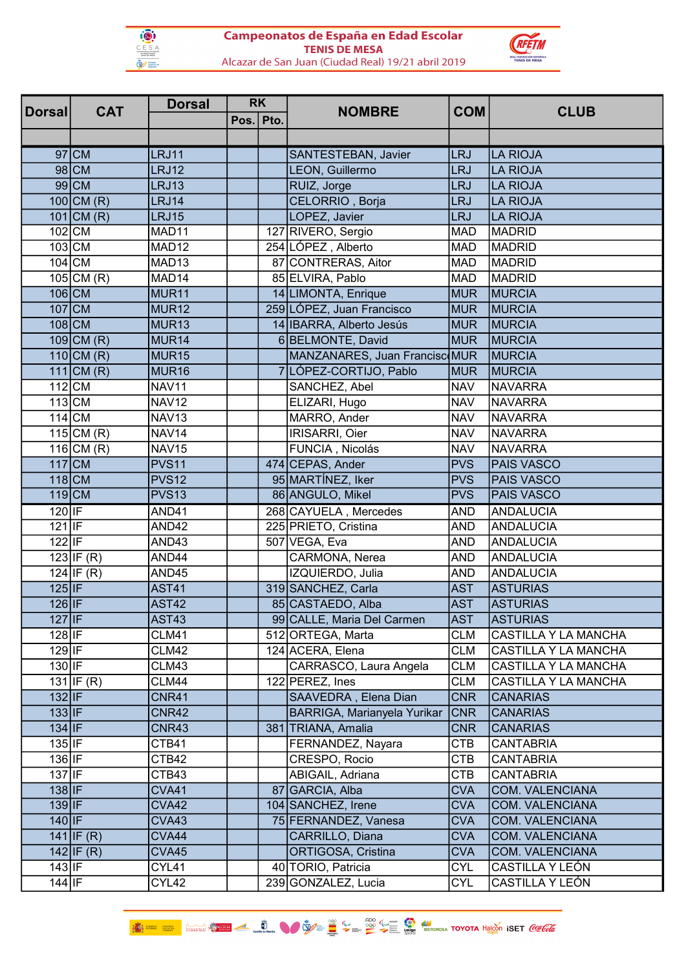



|                | <b>CAT</b>              | <b>Dorsal</b>     | <b>RK</b> | <b>NOMBRE</b>                 | <b>COM</b> | <b>CLUB</b>            |
|----------------|-------------------------|-------------------|-----------|-------------------------------|------------|------------------------|
| <b>Dorsall</b> |                         |                   | Pos. Pto. |                               |            |                        |
|                |                         |                   |           |                               |            |                        |
|                | $97$ CM                 | LRJ11             |           | SANTESTEBAN, Javier           | <b>LRJ</b> | <b>LA RIOJA</b>        |
|                | $98$ CM                 | LRJ12             |           | LEON, Guillermo               | <b>LRJ</b> | <b>LA RIOJA</b>        |
|                | $99$ CM                 | LRJ13             |           | RUIZ, Jorge                   | <b>LRJ</b> | <b>LA RIOJA</b>        |
|                | $100$ CM $(R)$          | LRJ14             |           | CELORRIO, Borja               | <b>LRJ</b> | <b>LA RIOJA</b>        |
|                | $101$ CM (R)            | <b>LRJ15</b>      |           | LOPEZ, Javier                 | <b>LRJ</b> | <b>LA RIOJA</b>        |
|                | $102$ CM                | MAD11             |           | 127 RIVERO, Sergio            | <b>MAD</b> | <b>MADRID</b>          |
|                | $103$ CM                | MAD <sub>12</sub> |           | 254 LÓPEZ, Alberto            | <b>MAD</b> | <b>MADRID</b>          |
|                | $104$ CM                | MAD <sub>13</sub> |           | 87 CONTRERAS, Aitor           | <b>MAD</b> | <b>MADRID</b>          |
|                | $105$ CM (R)            | MAD <sub>14</sub> |           | 85 ELVIRA, Pablo              | <b>MAD</b> | <b>MADRID</b>          |
|                | $106$ CM                | MUR <sub>11</sub> |           | 14 LIMONTA, Enrique           | <b>MUR</b> | MURCIA                 |
|                | $107$ CM                | MUR <sub>12</sub> |           | 259 LÓPEZ, Juan Francisco     | <b>MUR</b> | MURCIA                 |
|                | $108$ CM                | MUR <sub>13</sub> |           | 14 IBARRA, Alberto Jesús      | <b>MUR</b> | MURCIA                 |
|                | $109$ CM (R)            | MUR <sub>14</sub> |           | 6 BELMONTE, David             | <b>MUR</b> | <b>MURCIA</b>          |
|                | $110$ CM (R)            | MUR <sub>15</sub> |           | MANZANARES, Juan Francisc MUR |            | <b>MURCIA</b>          |
|                | $111$ CM (R)            | MUR <sub>16</sub> |           | 7 LÓPEZ-CORTIJO, Pablo        | <b>MUR</b> | MURCIA                 |
|                | $112$ CM                | NAV11             |           | SANCHEZ, Abel                 | <b>NAV</b> | <b>NAVARRA</b>         |
|                | $113$ CM                | <b>NAV12</b>      |           | ELIZARI, Hugo                 | <b>NAV</b> | <b>NAVARRA</b>         |
|                | $114$ CM                | <b>NAV13</b>      |           | MARRO, Ander                  | <b>NAV</b> | <b>NAVARRA</b>         |
|                | $115$ CM (R)            | NAV <sub>14</sub> |           | IRISARRI, Oier                | <b>NAV</b> | <b>NAVARRA</b>         |
|                | 116 $CM (R)$            | <b>NAV15</b>      |           | FUNCIA, Nicolás               | <b>NAV</b> | <b>NAVARRA</b>         |
|                | $117$ CM                | PVS <sub>11</sub> |           | 474 CEPAS, Ander              | <b>PVS</b> | PAIS VASCO             |
|                | $118$ CM                | <b>PVS12</b>      |           | 95 MARTÍNEZ, Iker             | <b>PVS</b> | <b>PAIS VASCO</b>      |
|                | $119$ CM                | <b>PVS13</b>      |           | 86 ANGULO, Mikel              | <b>PVS</b> | PAIS VASCO             |
| $120$ IF       |                         | AND41             |           | 268 CAYUELA, Mercedes         | <b>AND</b> | <b>ANDALUCIA</b>       |
| $121$  IF      |                         | AND42             |           | 225 PRIETO, Cristina          | <b>AND</b> | <b>ANDALUCIA</b>       |
| $122$  IF      |                         | AND43             |           | 507 VEGA, Eva                 | <b>AND</b> | <b>ANDALUCIA</b>       |
|                | 123 IF(R)               | AND44             |           | CARMONA, Nerea                | <b>AND</b> | <b>ANDALUCIA</b>       |
|                | $\overline{124}$ IF (R) | AND45             |           | IZQUIERDO, Julia              | <b>AND</b> | <b>ANDALUCIA</b>       |
| $125$  IF      |                         | <b>AST41</b>      |           | 319 SANCHEZ, Carla            | <b>AST</b> | <b>ASTURIAS</b>        |
| $126$  IF      |                         | AST42             |           | 85 CASTAEDO, Alba             | <b>AST</b> | <b>ASTURIAS</b>        |
| $127$  IF      |                         | AST43             |           | 99 CALLE, Maria Del Carmen    | <b>AST</b> | <b>ASTURIAS</b>        |
| $128$ IF       |                         | <b>CLM41</b>      |           | 512 ORTEGA, Marta             | <b>CLM</b> | CASTILLA Y LA MANCHA   |
| $129$ IF       |                         | CLM42             |           | 124 ACERA, Elena              | <b>CLM</b> | CASTILLA Y LA MANCHA   |
| 130 IF         |                         | CLM43             |           | CARRASCO, Laura Angela        | <b>CLM</b> | CASTILLA Y LA MANCHA   |
|                | $\overline{131 IF(R)}$  | CLM44             |           | 122 PEREZ, Ines               | <b>CLM</b> | CASTILLA Y LA MANCHA   |
| $132$  IF      |                         | CNR41             |           | SAAVEDRA, Elena Dian          | <b>CNR</b> | <b>CANARIAS</b>        |
| $133$ IF       |                         | CNR42             |           | BARRIGA, Marianyela Yurikar   | <b>CNR</b> | <b>CANARIAS</b>        |
| $134$  IF      |                         | CNR43             |           | 381 TRIANA, Amalia            | <b>CNR</b> | <b>CANARIAS</b>        |
| $135$  IF      |                         | CTB41             |           | FERNANDEZ, Nayara             | <b>CTB</b> | <b>CANTABRIA</b>       |
| $136$ IF       |                         | CTB42             |           | CRESPO, Rocio                 | <b>CTB</b> | <b>CANTABRIA</b>       |
| $137$  IF      |                         | CTB43             |           | ABIGAIL, Adriana              | <b>CTB</b> | <b>CANTABRIA</b>       |
| $138$  IF      |                         | CVA41             |           | 87 GARCIA, Alba               | <b>CVA</b> | <b>COM. VALENCIANA</b> |
| $139$ IF       |                         | CVA42             |           | 104 SANCHEZ, Irene            | <b>CVA</b> | <b>COM. VALENCIANA</b> |
| $140$ IF       |                         | CVA43             |           | 75 FERNANDEZ, Vanesa          | <b>CVA</b> | <b>COM. VALENCIANA</b> |
|                | 141 IF(R)               | CVA44             |           | CARRILLO, Diana               | <b>CVA</b> | <b>COM. VALENCIANA</b> |
|                | $142$  IF (R)           | CVA45             |           | ORTIGOSA, Cristina            | <b>CVA</b> | <b>COM. VALENCIANA</b> |
| $143$ IF       |                         | CYL41             |           | 40 TORIO, Patricia            | <b>CYL</b> | CASTILLA Y LEÓN        |
| $144$   $IF$   |                         | CYL42             |           | 239 GONZALEZ, Lucia           | <b>CYL</b> | CASTILLA Y LEÓN        |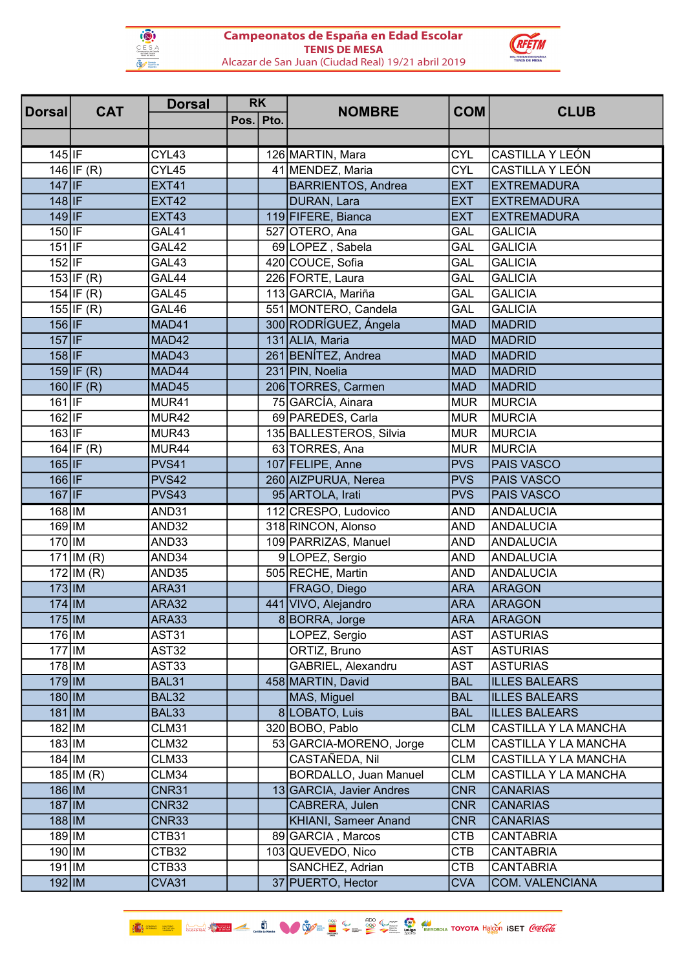



| <b>RK</b><br><b>Dorsal</b><br><b>CAT</b><br><b>Dorsal</b> |                    | <b>NOMBRE</b> | <b>COM</b>                   | <b>CLUB</b> |                        |  |
|-----------------------------------------------------------|--------------------|---------------|------------------------------|-------------|------------------------|--|
|                                                           |                    | Pos. Pto.     |                              |             |                        |  |
|                                                           |                    |               |                              |             |                        |  |
| $145$  IF                                                 | CYL43              |               | 126 MARTIN, Mara             | <b>CYL</b>  | CASTILLA Y LEÓN        |  |
| $146$ IF (R)                                              | $\overline{CYL45}$ |               | 41 MENDEZ, Maria             | <b>CYL</b>  | CASTILLA Y LEÓN        |  |
| $147$  IF                                                 | <b>EXT41</b>       |               | <b>BARRIENTOS, Andrea</b>    | <b>EXT</b>  | <b>EXTREMADURA</b>     |  |
| $148$ IF                                                  | <b>EXT42</b>       |               | DURAN, Lara                  | <b>EXT</b>  | <b>EXTREMADURA</b>     |  |
| $149$ IF                                                  | <b>EXT43</b>       |               | 119 FIFERE, Bianca           | <b>EXT</b>  | <b>EXTREMADURA</b>     |  |
| $150$  IF                                                 | GAL41              |               | 527 OTERO, Ana               | <b>GAL</b>  | <b>GALICIA</b>         |  |
| $151$ IF                                                  | GAL42              |               | 69 LOPEZ, Sabela             | <b>GAL</b>  | <b>GALICIA</b>         |  |
| $152$ IF                                                  | GAL43              |               | 420 COUCE, Sofia             | GAL         | <b>GALICIA</b>         |  |
| 153 IF(R)                                                 | GAL44              |               | 226 FORTE, Laura             | GAL         | <b>GALICIA</b>         |  |
| $154$ IF (R)                                              | GAL45              |               | 113 GARCIA, Mariña           | GAL         | <b>GALICIA</b>         |  |
| 155 IF(R)                                                 | GAL46              |               | 551 MONTERO, Candela         | GAL         | <b>GALICIA</b>         |  |
| $156$ IF                                                  | MAD41              |               | 300 RODRÍGUEZ, Ángela        | <b>MAD</b>  | <b>MADRID</b>          |  |
| $157$ IF                                                  | MAD42              |               | 131 ALIA, Maria              | <b>MAD</b>  | <b>MADRID</b>          |  |
| $158$  IF                                                 | MAD43              |               | 261 BENÍTEZ, Andrea          | <b>MAD</b>  | <b>MADRID</b>          |  |
| 159 IF(R)                                                 | MAD44              |               | 231 PIN, Noelia              | <b>MAD</b>  | <b>MADRID</b>          |  |
| 160 IF(R)                                                 | MAD45              |               | 206 TORRES, Carmen           | <b>MAD</b>  | <b>MADRID</b>          |  |
| $161$  IF                                                 | MUR41              |               | 75 GARCÍA, Ainara            | <b>MUR</b>  | <b>MURCIA</b>          |  |
| 162 IF                                                    | MUR42              |               | 69 PAREDES, Carla            | <b>MUR</b>  | <b>MURCIA</b>          |  |
| $163$ IF                                                  | MUR43              |               | 135 BALLESTEROS, Silvia      | <b>MUR</b>  | <b>MURCIA</b>          |  |
| $164$ IF $(R)$                                            | MUR44              |               | 63 TORRES, Ana               | <b>MUR</b>  | <b>MURCIA</b>          |  |
| $165$ IF                                                  | PVS41              |               | 107 FELIPE, Anne             | <b>PVS</b>  | <b>PAIS VASCO</b>      |  |
| 166 IF                                                    | <b>PVS42</b>       |               | 260 AIZPURUA, Nerea          | <b>PVS</b>  | <b>PAIS VASCO</b>      |  |
| $167$  IF                                                 | PVS43              |               | 95 ARTOLA, Irati             | <b>PVS</b>  | <b>PAIS VASCO</b>      |  |
| $168$  IM                                                 | AND31              |               | 112 CRESPO, Ludovico         | <b>AND</b>  | <b>ANDALUCIA</b>       |  |
| $169$  IM                                                 | AND32              |               | 318 RINCON, Alonso           | <b>AND</b>  | <b>ANDALUCIA</b>       |  |
| 170 IM                                                    | AND33              |               | 109 PARRIZAS, Manuel         | <b>AND</b>  | <b>ANDALUCIA</b>       |  |
| $171$ IM (R)                                              | AND34              |               | 9 LOPEZ, Sergio              | <b>AND</b>  | <b>ANDALUCIA</b>       |  |
| $172$ IM (R)                                              | AND35              |               | 505 RECHE, Martin            | <b>AND</b>  | <b>ANDALUCIA</b>       |  |
| $173$ IM                                                  | <b>ARA31</b>       |               | FRAGO, Diego                 | <b>ARA</b>  | <b>ARAGON</b>          |  |
| $174$  IM                                                 | ARA32              |               | 441 VIVO, Alejandro          | <b>ARA</b>  | <b>ARAGON</b>          |  |
| $175$  IM                                                 | ARA33              |               | 8 BORRA, Jorge               | <b>ARA</b>  | <b>ARAGON</b>          |  |
| 176 IM                                                    | AST31              |               | LOPEZ, Sergio                | <b>AST</b>  | <b>ASTURIAS</b>        |  |
| $177$  IM                                                 | AST32              |               | ORTIZ, Bruno                 | <b>AST</b>  | <b>ASTURIAS</b>        |  |
| $178$  IM                                                 | AST33              |               | GABRIEL, Alexandru           | <b>AST</b>  | <b>ASTURIAS</b>        |  |
| $179$  IM                                                 | <b>BAL31</b>       |               | 458 MARTIN, David            | <b>BAL</b>  | <b>ILLES BALEARS</b>   |  |
| $180$   IM                                                | <b>BAL32</b>       |               | MAS, Miguel                  | <b>BAL</b>  | <b>ILLES BALEARS</b>   |  |
| $181$   IM                                                | BAL33              |               | 8 LOBATO, Luis               | <b>BAL</b>  | <b>ILLES BALEARS</b>   |  |
| $182$  IM                                                 | CLM31              |               | 320 BOBO, Pablo              | <b>CLM</b>  | CASTILLA Y LA MANCHA   |  |
| $183$ IM                                                  | CLM32              |               | 53 GARCIA-MORENO, Jorge      | <b>CLM</b>  | CASTILLA Y LA MANCHA   |  |
| $184$ IM                                                  | CLM33              |               | CASTAÑEDA, Nil               | <b>CLM</b>  | CASTILLA Y LA MANCHA   |  |
| $185$  IM (R)                                             | CLM34              |               | <b>BORDALLO, Juan Manuel</b> | <b>CLM</b>  | CASTILLA Y LA MANCHA   |  |
| $186$  IM                                                 | <b>CNR31</b>       |               | 13 GARCIA, Javier Andres     | <b>CNR</b>  | <b>CANARIAS</b>        |  |
| $187$  IM                                                 | <b>CNR32</b>       |               | CABRERA, Julen               | <b>CNR</b>  | <b>CANARIAS</b>        |  |
| $188$  IM                                                 | <b>CNR33</b>       |               | <b>KHIANI, Sameer Anand</b>  | <b>CNR</b>  | <b>CANARIAS</b>        |  |
| $189$  IM                                                 | CTB31              |               | 89 GARCIA, Marcos            | <b>CTB</b>  | <b>CANTABRIA</b>       |  |
| $190$  IM                                                 | CTB32              |               | 103 QUEVEDO, Nico            | <b>CTB</b>  | <b>CANTABRIA</b>       |  |
| $191$ $ M$                                                | CTB33              |               | SANCHEZ, Adrian              | <b>CTB</b>  | <b>CANTABRIA</b>       |  |
| $192$  IM                                                 | CVA31              |               | 37 PUERTO, Hector            | <b>CVA</b>  | <b>COM. VALENCIANA</b> |  |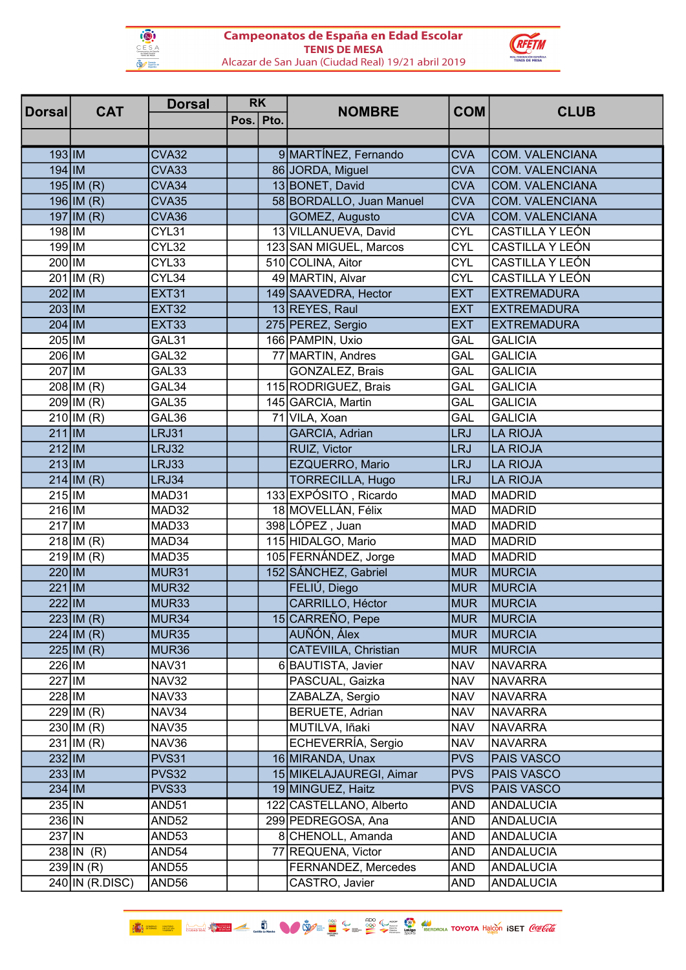



| Dorsal    |                         | <b>Dorsal</b><br><b>RK</b><br><b>CAT</b> |           | <b>NOMBRE</b>            | <b>COM</b> | <b>CLUB</b>            |  |
|-----------|-------------------------|------------------------------------------|-----------|--------------------------|------------|------------------------|--|
|           |                         |                                          | Pos. Pto. |                          |            |                        |  |
|           |                         |                                          |           |                          |            |                        |  |
| $193$ IM  |                         | <b>CVA32</b>                             |           | 9 MARTÍNEZ, Fernando     | <b>CVA</b> | <b>COM. VALENCIANA</b> |  |
| $194$ IM  |                         | CVA33                                    |           | 86 JORDA, Miguel         | <b>CVA</b> | <b>COM. VALENCIANA</b> |  |
|           | $195$  IM (R)           | CVA34                                    |           | 13 BONET, David          | <b>CVA</b> | <b>COM. VALENCIANA</b> |  |
|           | $196$   IM (R)          | CVA35                                    |           | 58 BORDALLO, Juan Manuel | <b>CVA</b> | <b>COM. VALENCIANA</b> |  |
|           | $197$ IM $(R)$          | CVA36                                    |           | GOMEZ, Augusto           | <b>CVA</b> | <b>COM. VALENCIANA</b> |  |
| 198 IM    |                         | CYL31                                    |           | 13 VILLANUEVA, David     | <b>CYL</b> | CASTILLA Y LEÓN        |  |
| 199 IM    |                         | CYL32                                    |           | 123 SAN MIGUEL, Marcos   | <b>CYL</b> | CASTILLA Y LEÓN        |  |
| 200 IM    |                         | CYL33                                    |           | 510 COLINA, Aitor        | <b>CYL</b> | CASTILLA Y LEÓN        |  |
|           | $201$ IM (R)            | CYL34                                    |           | 49 MARTIN, Alvar         | <b>CYL</b> | CASTILLA Y LEÓN        |  |
| 202 IM    |                         | <b>EXT31</b>                             |           | 149 SAAVEDRA, Hector     | <b>EXT</b> | <b>EXTREMADURA</b>     |  |
| 203 IM    |                         | <b>EXT32</b>                             |           | 13 REYES, Raul           | <b>EXT</b> | <b>EXTREMADURA</b>     |  |
| $204$ IM  |                         | EXT33                                    |           | 275 PEREZ, Sergio        | <b>EXT</b> | <b>EXTREMADURA</b>     |  |
| 205 IM    |                         | GAL31                                    |           | 166 PAMPIN, Uxio         | <b>GAL</b> | <b>GALICIA</b>         |  |
| 206 IM    |                         | GAL32                                    |           | 77 MARTIN, Andres        | GAL        | <b>GALICIA</b>         |  |
| 207 IM    |                         | GAL33                                    |           | GONZALEZ, Brais          | GAL        | <b>GALICIA</b>         |  |
|           | $208$ IM (R)            | GAL34                                    |           | 115 RODRIGUEZ, Brais     | GAL        | <b>GALICIA</b>         |  |
|           | $\overline{209}$ IM (R) | GAL35                                    |           | 145 GARCIA, Martin       | <b>GAL</b> | <b>GALICIA</b>         |  |
|           | $210$ IM (R)            | GAL36                                    |           | 71 VILA, Xoan            | GAL        | <b>GALICIA</b>         |  |
| $211$  IM |                         | <b>LRJ31</b>                             |           | GARCIA, Adrian           | <b>LRJ</b> | <b>LA RIOJA</b>        |  |
| $212$  IM |                         | LRJ32                                    |           | RUIZ, Victor             | <b>LRJ</b> | <b>LA RIOJA</b>        |  |
| $213$ IM  |                         | LRJ33                                    |           | EZQUERRO, Mario          | <b>LRJ</b> | LA RIOJA               |  |
|           | $214$ IM (R)            | LRJ34                                    |           | <b>TORRECILLA, Hugo</b>  | <b>LRJ</b> | <b>LA RIOJA</b>        |  |
| $215$  IM |                         | MAD31                                    |           | 133 EXPÓSITO, Ricardo    | <b>MAD</b> | <b>MADRID</b>          |  |
| $216$  IM |                         | MAD32                                    |           | 18 MOVELLÁN, Félix       | <b>MAD</b> | <b>MADRID</b>          |  |
| $217$  IM |                         | MAD33                                    |           | 398 LÓPEZ, Juan          | <b>MAD</b> | <b>MADRID</b>          |  |
|           | $218$  IM (R)           | MAD34                                    |           | 115 HIDALGO, Mario       | <b>MAD</b> | <b>MADRID</b>          |  |
|           | $219$  IM (R)           | MAD35                                    |           | 105 FERNÁNDEZ, Jorge     | <b>MAD</b> | <b>MADRID</b>          |  |
| 220 IM    |                         | MUR31                                    |           | 152 SÁNCHEZ, Gabriel     | <b>MUR</b> | MURCIA                 |  |
| $221$ IM  |                         | MUR32                                    |           | FELIÚ, Diego             | <b>MUR</b> | MURCIA                 |  |
| $222$  IM |                         | MUR33                                    |           | CARRILLO, Héctor         | <b>MUR</b> | MURCIA                 |  |
|           | $223$ IM (R)            | MUR34                                    |           | 15 CARREÑO, Pepe         | <b>MUR</b> | MURCIA                 |  |
|           | $224$ IM (R)            | MUR <sub>35</sub>                        |           | AUÑÓN, Álex              | <b>MUR</b> | MURCIA                 |  |
|           | $225$ IM (R)            | MUR <sub>36</sub>                        |           | CATEVIILA, Christian     | <b>MUR</b> | MURCIA                 |  |
| 226 IM    |                         | NAV31                                    |           | 6 BAUTISTA, Javier       | <b>NAV</b> | <b>NAVARRA</b>         |  |
| 227 IM    |                         | <b>NAV32</b>                             |           | PASCUAL, Gaizka          | <b>NAV</b> | <b>NAVARRA</b>         |  |
| 228 IM    |                         | NAV33                                    |           | ZABALZA, Sergio          | <b>NAV</b> | <b>NAVARRA</b>         |  |
|           | $229$ IM (R)            | NAV34                                    |           | <b>BERUETE, Adrian</b>   | <b>NAV</b> | <b>NAVARRA</b>         |  |
|           | $230$ IM (R)            | <b>NAV35</b>                             |           | MUTILVA, Iñaki           | <b>NAV</b> | <b>NAVARRA</b>         |  |
|           | $231$   IM (R)          | NAV36                                    |           | ECHEVERRÍA, Sergio       | <b>NAV</b> | <b>NAVARRA</b>         |  |
| 232 IM    |                         | <b>PVS31</b>                             |           | 16 MIRANDA, Unax         | <b>PVS</b> | PAIS VASCO             |  |
| $233$ IM  |                         | PVS32                                    |           | 15 MIKELAJAUREGI, Aimar  | <b>PVS</b> | <b>PAIS VASCO</b>      |  |
| $234$ IM  |                         | PVS33                                    |           | 19 MINGUEZ, Haitz        | <b>PVS</b> | PAIS VASCO             |  |
| $235$ IN  |                         | AND <sub>51</sub>                        |           | 122 CASTELLANO, Alberto  | <b>AND</b> | <b>ANDALUCIA</b>       |  |
| 236 IN    |                         | AND <sub>52</sub>                        |           | 299 PEDREGOSA, Ana       | <b>AND</b> | <b>ANDALUCIA</b>       |  |
| $237$  IN |                         | AND <sub>53</sub>                        |           | 8 CHENOLL, Amanda        | <b>AND</b> | <b>ANDALUCIA</b>       |  |
|           | $238$  IN $(R)$         | AND <sub>54</sub>                        |           | 77 REQUENA, Victor       | <b>AND</b> | <b>ANDALUCIA</b>       |  |
|           | $239$ IN (R)            | AND <sub>55</sub>                        |           | FERNANDEZ, Mercedes      | <b>AND</b> | <b>ANDALUCIA</b>       |  |
|           | $240$ IN (R.DISC)       | AND56                                    |           | CASTRO, Javier           | <b>AND</b> | <b>ANDALUCIA</b>       |  |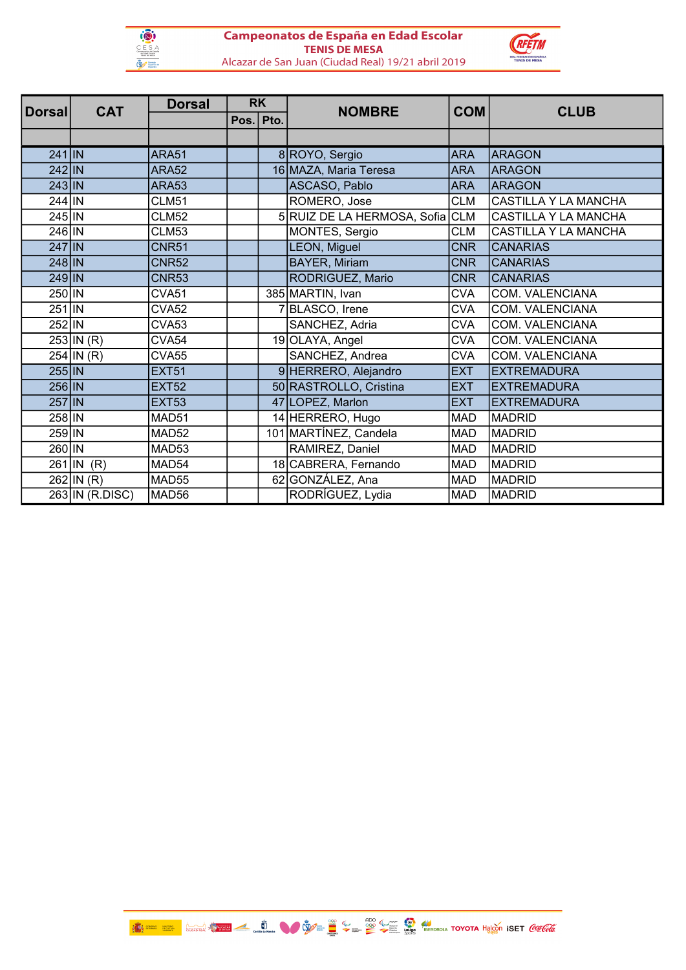



| Dorsal   | <b>CAT</b>      | <b>Dorsal</b>     | <b>RK</b> |  | <b>NOMBRE</b>                   | <b>COM</b> | <b>CLUB</b>            |
|----------|-----------------|-------------------|-----------|--|---------------------------------|------------|------------------------|
|          |                 |                   | Pos. Pto. |  |                                 |            |                        |
|          |                 |                   |           |  |                                 |            |                        |
| $241$ IN |                 | <b>ARA51</b>      |           |  | 8 ROYO, Sergio                  | <b>ARA</b> | <b>ARAGON</b>          |
| 242 IN   |                 | <b>ARA52</b>      |           |  | 16 MAZA, Maria Teresa           | <b>ARA</b> | <b>ARAGON</b>          |
| 243 IN   |                 | <b>ARA53</b>      |           |  | ASCASO, Pablo                   | <b>ARA</b> | <b>ARAGON</b>          |
| 244 IN   |                 | <b>CLM51</b>      |           |  | ROMERO, Jose                    | <b>CLM</b> | CASTILLA Y LA MANCHA   |
| 245 IN   |                 | <b>CLM52</b>      |           |  | 5 RUIZ DE LA HERMOSA, Sofia CLM |            | CASTILLA Y LA MANCHA   |
| 246 IN   |                 | <b>CLM53</b>      |           |  | MONTES, Sergio                  | <b>CLM</b> | CASTILLA Y LA MANCHA   |
| 247 IN   |                 | <b>CNR51</b>      |           |  | LEON, Miguel                    | <b>CNR</b> | <b>CANARIAS</b>        |
| 248 IN   |                 | <b>CNR52</b>      |           |  | <b>BAYER, Miriam</b>            | <b>CNR</b> | <b>CANARIAS</b>        |
| 249 IN   |                 | <b>CNR53</b>      |           |  | RODRIGUEZ, Mario                | <b>CNR</b> | <b>CANARIAS</b>        |
| 250 IN   |                 | CVA51             |           |  | 385 MARTIN, Ivan                | <b>CVA</b> | COM. VALENCIANA        |
| 251 IN   |                 | <b>CVA52</b>      |           |  | 7BLASCO, Irene                  | <b>CVA</b> | COM. VALENCIANA        |
| $252$ IN |                 | CVA <sub>53</sub> |           |  | SANCHEZ, Adria                  | <b>CVA</b> | <b>COM. VALENCIANA</b> |
|          | $253$ IN (R)    | CVA54             |           |  | 19 OLAYA, Angel                 | <b>CVA</b> | <b>COM. VALENCIANA</b> |
|          | $254$ IN (R)    | <b>CVA55</b>      |           |  | SANCHEZ, Andrea                 | <b>CVA</b> | <b>COM. VALENCIANA</b> |
| $255$ IN |                 | <b>EXT51</b>      |           |  | 9 HERRERO, Alejandro            | <b>EXT</b> | <b>EXTREMADURA</b>     |
| 256 IN   |                 | <b>EXT52</b>      |           |  | 50 RASTROLLO, Cristina          | <b>EXT</b> | <b>EXTREMADURA</b>     |
| 257 IN   |                 | <b>EXT53</b>      |           |  | 47 LOPEZ, Marlon                | <b>EXT</b> | <b>EXTREMADURA</b>     |
| 258 IN   |                 | MAD51             |           |  | 14 HERRERO, Hugo                | <b>MAD</b> | <b>MADRID</b>          |
| 259 IN   |                 | MAD52             |           |  | 101 MARTINEZ, Candela           | <b>MAD</b> | <b>MADRID</b>          |
| 260 IN   |                 | MAD53             |           |  | RAMIREZ, Daniel                 | <b>MAD</b> | <b>MADRID</b>          |
|          | $261$ IN (R)    | MAD54             |           |  | 18 CABRERA, Fernando            | <b>MAD</b> | <b>MADRID</b>          |
|          | $262$   IN (R)  | MAD55             |           |  | 62 GONZÁLEZ, Ana                | <b>MAD</b> | <b>MADRID</b>          |
|          | 263 IN (R.DISC) | MAD56             |           |  | RODRÍGUEZ, Lydia                | <b>MAD</b> | <b>MADRID</b>          |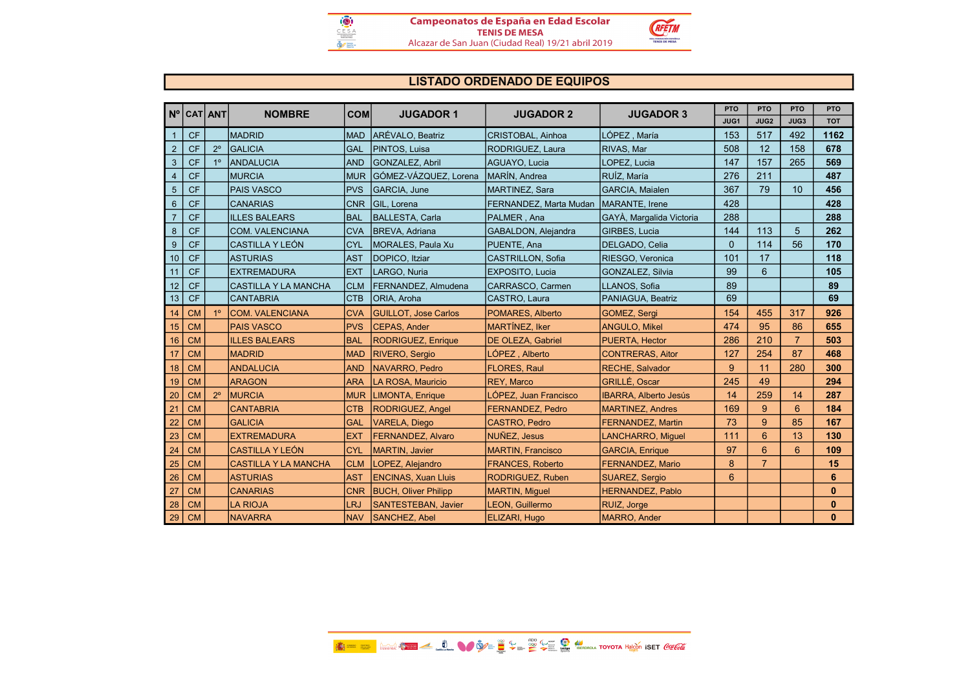

# LISTADO ORDENADO DE EQUIPOS

|                |           | Nº CAT ANT<br><b>NOMBRE</b> |                             | <b>COM</b> | <b>JUGADOR 1</b>            | <b>JUGADOR 2</b>         | <b>JUGADOR 3</b>             | <b>PTO</b> | <b>PTO</b>     | <b>PTO</b>      | <b>PTO</b>   |
|----------------|-----------|-----------------------------|-----------------------------|------------|-----------------------------|--------------------------|------------------------------|------------|----------------|-----------------|--------------|
|                |           |                             |                             |            |                             |                          |                              | JUG1       | JUG2           | JUG3            | <b>TOT</b>   |
| $\mathbf{1}$   | <b>CF</b> |                             | <b>MADRID</b>               | <b>MAD</b> | ARÉVALO, Beatriz            | CRISTOBAL, Ainhoa        | LÓPEZ, María                 | 153        | 517            | 492             | 1162         |
| $\overline{2}$ | <b>CF</b> | $2^{\circ}$                 | <b>GALICIA</b>              | GAL        | PINTOS, Luisa               | RODRIGUEZ, Laura         | RIVAS, Mar                   | 508        | 12             | 158             | 678          |
| $\mathbf{3}$   | <b>CF</b> | 1 <sup>°</sup>              | <b>ANDALUCIA</b>            | <b>AND</b> | <b>GONZALEZ, Abril</b>      | <b>AGUAYO. Lucia</b>     | LOPEZ. Lucia                 | 147        | 157            | 265             | 569          |
| 4              | <b>CF</b> |                             | <b>MURCIA</b>               | <b>MUR</b> | GÓMEZ-VÁZQUEZ, Lorena       | <b>IMARÍN, Andrea</b>    | RUÍZ. María                  | 276        | 211            |                 | 487          |
| 5              | <b>CF</b> |                             | <b>PAIS VASCO</b>           | <b>PVS</b> | <b>GARCIA, June</b>         | MARTINEZ, Sara           | <b>GARCIA, Maialen</b>       | 367        | 79             | 10              | 456          |
| $6\phantom{1}$ | <b>CF</b> |                             | <b>CANARIAS</b>             | <b>CNR</b> | GIL. Lorena                 | FERNANDEZ, Marta Mudan   | MARANTE, Irene               | 428        |                |                 | 428          |
| $\overline{7}$ | <b>CF</b> |                             | <b>ILLES BALEARS</b>        | <b>BAL</b> | BALLESTA, Carla             | PALMER, Ana              | GAYÀ, Margalida Victoria     | 288        |                |                 | 288          |
| 8              | <b>CF</b> |                             | <b>COM. VALENCIANA</b>      | <b>CVA</b> | <b>IBREVA, Adriana</b>      | GABALDON, Alejandra      | <b>GIRBES, Lucia</b>         | 144        | 113            | 5               | 262          |
| 9              | <b>CF</b> |                             | <b>CASTILLA Y LEÓN</b>      | <b>CYL</b> | <b>MORALES, Paula Xu</b>    | PUENTE, Ana              | DELGADO, Celia               | $\Omega$   | 114            | 56              | 170          |
| 10             | <b>CF</b> |                             | <b>ASTURIAS</b>             | <b>AST</b> | DOPICO, Itziar              | CASTRILLON, Sofia        | RIESGO, Veronica             | 101        | 17             |                 | 118          |
| 11             | <b>CF</b> |                             | <b>EXTREMADURA</b>          | <b>EXT</b> | LARGO, Nuria                | <b>EXPOSITO, Lucia</b>   | GONZALEZ, Silvia             | 99         | 6              |                 | 105          |
| 12             | <b>CF</b> |                             | İCASTILLA Y LA MANCHA       | <b>CLM</b> | FERNANDEZ, Almudena         | CARRASCO, Carmen         | LLANOS, Sofia                | 89         |                |                 | 89           |
| 13             | <b>CF</b> |                             | <b>CANTABRIA</b>            | <b>CTB</b> | <b>ORIA, Aroha</b>          | CASTRO, Laura            | PANIAGUA, Beatriz            | 69         |                |                 | 69           |
| 14             | <b>CM</b> | 1 <sup>°</sup>              | COM. VALENCIANA             | <b>CVA</b> | <b>GUILLOT, Jose Carlos</b> | POMARES, Alberto         | <b>GOMEZ, Sergi</b>          | 154        | 455            | 317             | 926          |
| 15             | <b>CM</b> |                             | <b>PAIS VASCO</b>           | <b>PVS</b> | <b>CEPAS, Ander</b>         | <b>MARTINEZ, Iker</b>    | <b>ANGULO, Mikel</b>         | 474        | 95             | 86              | 655          |
| 16             | <b>CM</b> |                             | <b>ILLES BALEARS</b>        | <b>BAL</b> | <b>RODRIGUEZ, Enrique</b>   | DE OLEZA, Gabriel        | PUERTA, Hector               | 286        | 210            | $\overline{7}$  | 503          |
| 17             | <b>CM</b> |                             | <b>MADRID</b>               | <b>MAD</b> | <b>RIVERO, Sergio</b>       | LÓPEZ, Alberto           | <b>CONTRERAS, Aitor</b>      | 127        | 254            | 87              | 468          |
| 18             | <b>CM</b> |                             | <b>ANDALUCIA</b>            | <b>AND</b> | NAVARRO, Pedro              | <b>FLORES, Raul</b>      | <b>RECHE, Salvador</b>       | 9          | 11             | 280             | 300          |
| 19             | <b>CM</b> |                             | <b>ARAGON</b>               | <b>ARA</b> | LA ROSA, Mauricio           | REY, Marco               | <b>GRILLÉ, Oscar</b>         | 245        | 49             |                 | 294          |
| 20             | <b>CM</b> | $2^{\circ}$                 | <b>MURCIA</b>               | <b>MUR</b> | <b>LIMONTA, Enrique</b>     | LÓPEZ. Juan Francisco    | <b>IBARRA. Alberto Jesús</b> | 14         | 259            | 14              | 287          |
| 21             | <b>CM</b> |                             | <b>CANTABRIA</b>            | <b>CTB</b> | RODRIGUEZ, Angel            | <b>FERNANDEZ, Pedro</b>  | <b>MARTINEZ, Andres</b>      | 169        | 9              | $6\phantom{1}6$ | 184          |
| 22             | <b>CM</b> |                             | <b>GALICIA</b>              | <b>GAL</b> | <b>VARELA, Diego</b>        | <b>CASTRO, Pedro</b>     | <b>FERNANDEZ, Martin</b>     | 73         | 9              | 85              | 167          |
| 23             | <b>CM</b> |                             | <b>EXTREMADURA</b>          | <b>EXT</b> | <b>FERNANDEZ, Alvaro</b>    | NUÑEZ, Jesus             | <b>LANCHARRO, Miquel</b>     | 111        | 6              | 13              | 130          |
| 24             | <b>CM</b> |                             | <b>CASTILLA Y LEÓN</b>      | <b>CYL</b> | <b>MARTIN, Javier</b>       | <b>MARTIN, Francisco</b> | <b>GARCIA, Enrique</b>       | 97         | 6              | 6               | 109          |
| 25             | <b>CM</b> |                             | <b>CASTILLA Y LA MANCHA</b> | <b>CLM</b> | LOPEZ, Alejandro            | <b>FRANCES, Roberto</b>  | FERNANDEZ, Mario             | 8          | $\overline{7}$ |                 | 15           |
| 26             | <b>CM</b> |                             | <b>ASTURIAS</b>             | <b>AST</b> | <b>ENCINAS, Xuan Lluis</b>  | <b>RODRIGUEZ, Ruben</b>  | <b>SUAREZ, Sergio</b>        | 6          |                |                 | 6            |
| 27             | <b>CM</b> |                             | <b>CANARIAS</b>             | <b>CNR</b> | <b>BUCH, Oliver Philipp</b> | <b>MARTIN, Miquel</b>    | <b>HERNANDEZ, Pablo</b>      |            |                |                 | $\bf{0}$     |
| 28             | <b>CM</b> |                             | <b>LA RIOJA</b>             | LRJ        | <b>SANTESTEBAN, Javier</b>  | LEON, Guillermo          | RUIZ, Jorge                  |            |                |                 | $\bf{0}$     |
| 29             | <b>CM</b> |                             | <b>NAVARRA</b>              | <b>NAV</b> | <b>SANCHEZ, Abel</b>        | ELIZARI, Hugo            | <b>MARRO, Ander</b>          |            |                |                 | $\mathbf{0}$ |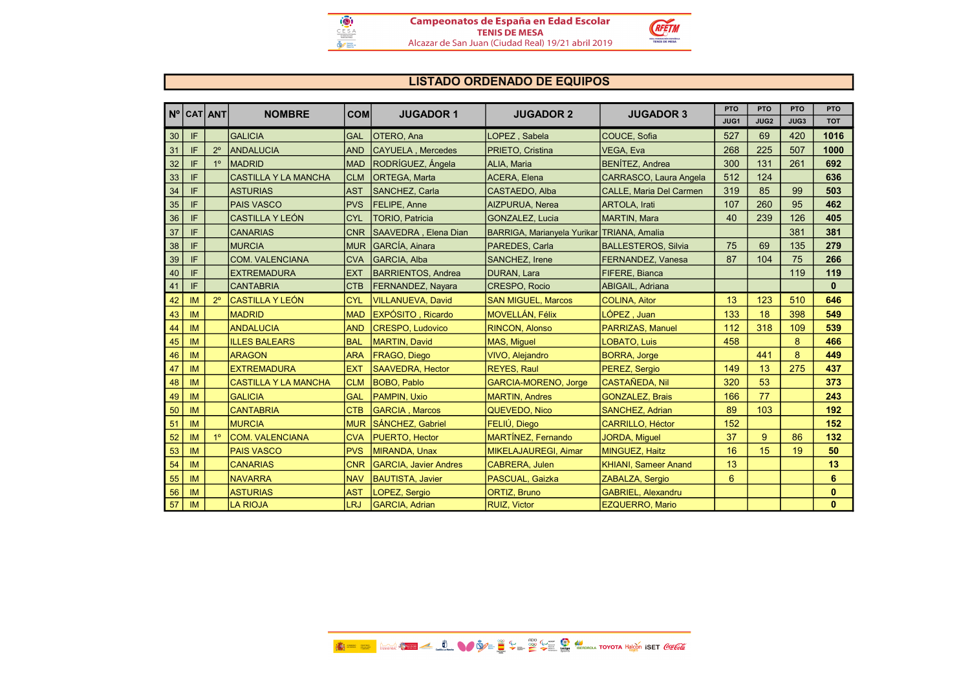

# LISTADO ORDENADO DE EQUIPOS

|    | Nº CAT ANT |             | <b>NOMBRE</b>               | <b>COM</b> | <b>JUGADOR 1</b>             | <b>JUGADOR 2</b>                           | <b>JUGADOR 3</b>               | <b>PTO</b> | <b>PTO</b>  | <b>PTO</b> | PTO          |
|----|------------|-------------|-----------------------------|------------|------------------------------|--------------------------------------------|--------------------------------|------------|-------------|------------|--------------|
|    |            |             |                             |            |                              |                                            |                                | JUG1       | <b>JUG2</b> | JUG3       | <b>TOT</b>   |
| 30 | IF         |             | <b>GALICIA</b>              | <b>GAL</b> | OTERO, Ana                   | LOPEZ, Sabela                              | COUCE, Sofia                   | 527        | 69          | 420        | 1016         |
| 31 | IF         | $2^{\circ}$ | <b>ANDALUCIA</b>            | <b>AND</b> | CAYUELA, Mercedes            | PRIETO, Cristina                           | VEGA, Eva                      | 268        | 225         | 507        | 1000         |
| 32 | IF         |             | <b>MADRID</b>               | <b>MAD</b> | RODRÍGUEZ, Ángela            | ALIA, Maria                                | <b>BENÍTEZ, Andrea</b>         | 300        | 131         | 261        | 692          |
| 33 | IF         |             | <b>CASTILLA Y LA MANCHA</b> | <b>CLM</b> | <b>ORTEGA, Marta</b>         | ACERA, Elena                               | <b>CARRASCO, Laura Angela</b>  | 512        | 124         |            | 636          |
| 34 | IF         |             | <b>ASTURIAS</b>             | <b>AST</b> | <b>SANCHEZ, Carla</b>        | CASTAEDO, Alba                             | <b>CALLE, Maria Del Carmen</b> | 319        | 85          | 99         | 503          |
| 35 | IF         |             | <b>PAIS VASCO</b>           | <b>PVS</b> | <b>FELIPE, Anne</b>          | <b>AIZPURUA, Nerea</b>                     | <b>ARTOLA</b> . Irati          | 107        | 260         | 95         | 462          |
| 36 | IF         |             | <b>CASTILLA Y LEÓN</b>      | <b>CYL</b> | <b>TORIO, Patricia</b>       | <b>GONZALEZ, Lucia</b>                     | <b>MARTIN, Mara</b>            | 40         | 239         | 126        | 405          |
| 37 | IF         |             | <b>CANARIAS</b>             | <b>CNR</b> | SAAVEDRA, Elena Dian         | BARRIGA, Marianyela Yurikar TRIANA, Amalia |                                |            |             | 381        | 381          |
| 38 | IF         |             | <b>MURCIA</b>               | <b>MUR</b> | <b>GARCÍA, Ainara</b>        | PAREDES, Carla                             | <b>BALLESTEROS, Silvia</b>     | 75         | 69          | 135        | 279          |
| 39 | IF         |             | <b>COM. VALENCIANA</b>      | <b>CVA</b> | <b>IGARCIA. Alba</b>         | <b>SANCHEZ, Irene</b>                      | <b>FERNANDEZ, Vanesa</b>       | 87         | 104         | 75         | 266          |
| 40 | IF         |             | <b>EXTREMADURA</b>          | <b>EXT</b> | <b>BARRIENTOS, Andrea</b>    | <b>DURAN, Lara</b>                         | <b>FIFERE, Bianca</b>          |            |             | 119        | 119          |
| 41 | IF         |             | <b>CANTABRIA</b>            | <b>CTB</b> | <b>FERNANDEZ, Nayara</b>     | CRESPO, Rocio                              | ABIGAIL, Adriana               |            |             |            | $\mathbf{0}$ |
| 42 | <b>IM</b>  |             | ÍCASTILLA Y LEÓN            | <b>CYL</b> | <b>VILLANUEVA, David</b>     | <b>SAN MIGUEL, Marcos</b>                  | <b>COLINA, Aitor</b>           | 13         | 123         | 510        | 646          |
| 43 | IM         |             | <b>MADRID</b>               | <b>MAD</b> | EXPÓSITO, Ricardo            | <b>MOVELLÁN, Félix</b>                     | LÓPEZ, Juan                    | 133        | 18          | 398        | 549          |
| 44 | IM         |             | <b>ANDALUCIA</b>            | <b>AND</b> | <b>CRESPO, Ludovico</b>      | <b>RINCON, Alonso</b>                      | <b>PARRIZAS, Manuel</b>        | 112        | 318         | 109        | 539          |
| 45 | <b>IM</b>  |             | <b>ILLES BALEARS</b>        | <b>BAL</b> | <b>MARTIN, David</b>         | <b>MAS, Miquel</b>                         | <b>LOBATO, Luis</b>            | 458        |             | 8          | 466          |
| 46 | <b>IM</b>  |             | <b>ARAGON</b>               | <b>ARA</b> | <b>FRAGO, Diego</b>          | <b>VIVO, Alejandro</b>                     | <b>BORRA, Jorge</b>            |            | 441         | 8          | 449          |
| 47 | IM         |             | <b>EXTREMADURA</b>          | <b>EXT</b> | <b>SAAVEDRA, Hector</b>      | <b>REYES, Raul</b>                         | PEREZ, Sergio                  | 149        | 13          | 275        | 437          |
| 48 | <b>IM</b>  |             | <b>CASTILLA Y LA MANCHA</b> | <b>CLM</b> | <b>BOBO, Pablo</b>           | <b>GARCIA-MORENO, Jorge</b>                | <b>CASTAÑEDA, Nil</b>          | 320        | 53          |            | 373          |
| 49 | <b>IM</b>  |             | <b>GALICIA</b>              | <b>GAL</b> | <b>PAMPIN, Uxio</b>          | <b>MARTIN, Andres</b>                      | <b>GONZALEZ, Brais</b>         | 166        | 77          |            | 243          |
| 50 | IM         |             | <b>CANTABRIA</b>            | <b>CTB</b> | <b>GARCIA, Marcos</b>        | QUEVEDO, Nico                              | <b>SANCHEZ, Adrian</b>         | 89         | 103         |            | 192          |
| 51 | IM         |             | <b>MURCIA</b>               | <b>MUR</b> | SÁNCHEZ, Gabriel             | FELIÚ, Diego                               | CARRILLO, Héctor               | 152        |             |            | 152          |
| 52 | <b>IM</b>  | 10          | <b>COM. VALENCIANA</b>      | <b>CVA</b> | PUERTO, Hector               | MARTÍNEZ, Fernando                         | <b>JORDA, Miquel</b>           | 37         | 9           | 86         | 132          |
| 53 | IM         |             | <b>PAIS VASCO</b>           | <b>PVS</b> | <b>MIRANDA, Unax</b>         | MIKELAJAUREGI, Aimar                       | MINGUEZ, Haitz                 | 16         | 15          | 19         | 50           |
| 54 | IM         |             | <b>CANARIAS</b>             | <b>CNR</b> | <b>GARCIA, Javier Andres</b> | <b>CABRERA, Julen</b>                      | <b>KHIANI, Sameer Anand</b>    | 13         |             |            | 13           |
| 55 | IM         |             | <b>NAVARRA</b>              | <b>NAV</b> | <b>BAUTISTA, Javier</b>      | PASCUAL, Gaizka                            | ZABALZA, Sergio                | 6          |             |            | 6            |
| 56 | IM         |             | <b>ASTURIAS</b>             | <b>AST</b> | LOPEZ, Sergio                | ORTIZ, Bruno                               | <b>GABRIEL, Alexandru</b>      |            |             |            | $\mathbf{0}$ |
| 57 | IM         |             | <b>LA RIOJA</b>             | LRJ        | <b>GARCIA, Adrian</b>        | <b>RUIZ, Victor</b>                        | <b>EZQUERRO, Mario</b>         |            |             |            | $\mathbf{0}$ |